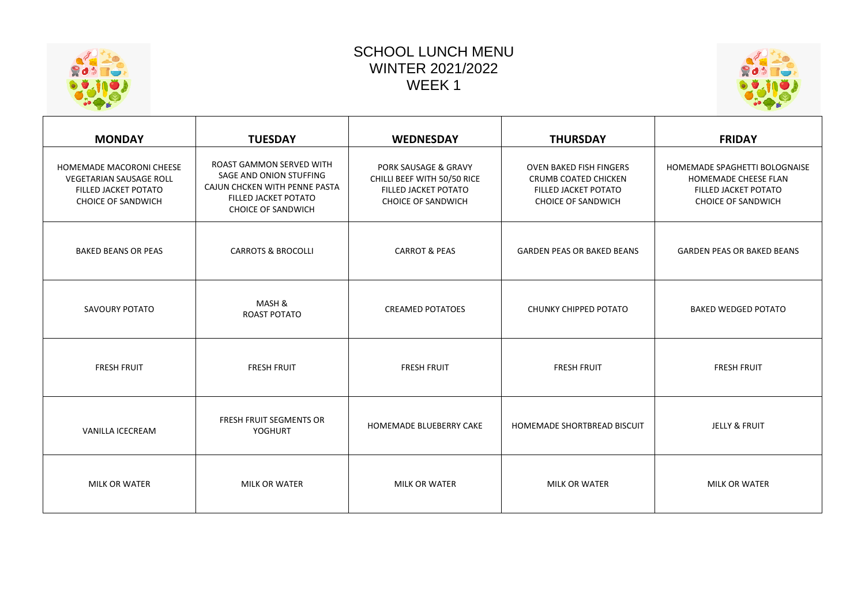| <b>SCHOOL LUNCH MENU</b> |
|--------------------------|
| <b>WINTER 2021/2022</b>  |
| WEEK 1                   |





| <b>MONDAY</b>                                                                                                          | <b>TUESDAY</b>                                                                                                                            | <b>WEDNESDAY</b>                                                                                                    | <b>THURSDAY</b>                                                                                             | <b>FRIDAY</b>                                                                                                     |
|------------------------------------------------------------------------------------------------------------------------|-------------------------------------------------------------------------------------------------------------------------------------------|---------------------------------------------------------------------------------------------------------------------|-------------------------------------------------------------------------------------------------------------|-------------------------------------------------------------------------------------------------------------------|
| <b>HOMEMADE MACORONI CHEESE</b><br><b>VEGETARIAN SAUSAGE ROLL</b><br>FILLED JACKET POTATO<br><b>CHOICE OF SANDWICH</b> | ROAST GAMMON SERVED WITH<br>SAGE AND ONION STUFFING<br>CAJUN CHCKEN WITH PENNE PASTA<br>FILLED JACKET POTATO<br><b>CHOICE OF SANDWICH</b> | <b>PORK SAUSAGE &amp; GRAVY</b><br>CHILLI BEEF WITH 50/50 RICE<br>FILLED JACKET POTATO<br><b>CHOICE OF SANDWICH</b> | <b>OVEN BAKED FISH FINGERS</b><br>CRUMB COATED CHICKEN<br>FILLED JACKET POTATO<br><b>CHOICE OF SANDWICH</b> | HOMEMADE SPAGHETTI BOLOGNAISE<br><b>HOMEMADE CHEESE FLAN</b><br>FILLED JACKET POTATO<br><b>CHOICE OF SANDWICH</b> |
| <b>BAKED BEANS OR PEAS</b>                                                                                             | <b>CARROTS &amp; BROCOLLI</b>                                                                                                             | <b>CARROT &amp; PEAS</b>                                                                                            | <b>GARDEN PEAS OR BAKED BEANS</b>                                                                           | <b>GARDEN PEAS OR BAKED BEANS</b>                                                                                 |
| SAVOURY POTATO                                                                                                         | MASH &<br>ROAST POTATO                                                                                                                    | <b>CREAMED POTATOES</b>                                                                                             | CHUNKY CHIPPED POTATO                                                                                       | <b>BAKED WEDGED POTATO</b>                                                                                        |
| <b>FRESH FRUIT</b>                                                                                                     | <b>FRESH FRUIT</b>                                                                                                                        | <b>FRESH FRUIT</b>                                                                                                  | <b>FRESH FRUIT</b>                                                                                          | <b>FRESH FRUIT</b>                                                                                                |
| VANILLA ICECREAM                                                                                                       | <b>FRESH FRUIT SEGMENTS OR</b><br><b>YOGHURT</b>                                                                                          | HOMEMADE BLUEBERRY CAKE                                                                                             | HOMEMADE SHORTBREAD BISCUIT                                                                                 | JELLY & FRUIT                                                                                                     |
| MILK OR WATER                                                                                                          | <b>MILK OR WATER</b>                                                                                                                      | <b>MILK OR WATER</b>                                                                                                | <b>MILK OR WATER</b>                                                                                        | <b>MILK OR WATER</b>                                                                                              |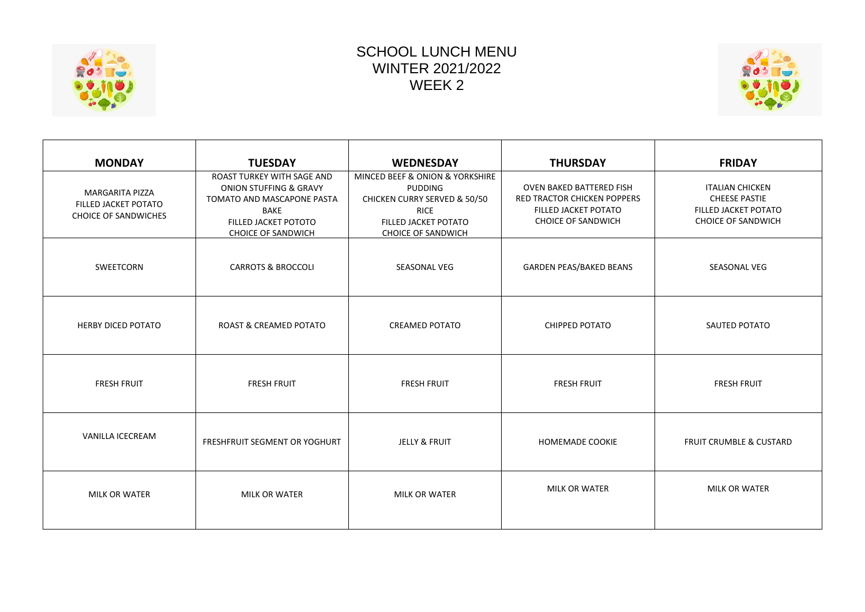

## SCHOOL LUNCH MENU WINTER 2021/2022 WEEK 2



| <b>MONDAY</b>                                                                 | <b>TUESDAY</b>                                                                                                                                         | <b>WEDNESDAY</b>                                                                                                                                      | <b>THURSDAY</b>                                                                                                     | <b>FRIDAY</b>                                                                                       |
|-------------------------------------------------------------------------------|--------------------------------------------------------------------------------------------------------------------------------------------------------|-------------------------------------------------------------------------------------------------------------------------------------------------------|---------------------------------------------------------------------------------------------------------------------|-----------------------------------------------------------------------------------------------------|
| <b>MARGARITA PIZZA</b><br>FILLED JACKET POTATO<br><b>CHOICE OF SANDWICHES</b> | ROAST TURKEY WITH SAGE AND<br>ONION STUFFING & GRAVY<br>TOMATO AND MASCAPONE PASTA<br><b>BAKE</b><br>FILLED JACKET POTOTO<br><b>CHOICE OF SANDWICH</b> | MINCED BEEF & ONION & YORKSHIRE<br><b>PUDDING</b><br>CHICKEN CURRY SERVED & 50/50<br><b>RICE</b><br>FILLED JACKET POTATO<br><b>CHOICE OF SANDWICH</b> | OVEN BAKED BATTERED FISH<br><b>RED TRACTOR CHICKEN POPPERS</b><br>FILLED JACKET POTATO<br><b>CHOICE OF SANDWICH</b> | <b>ITALIAN CHICKEN</b><br><b>CHEESE PASTIE</b><br>FILLED JACKET POTATO<br><b>CHOICE OF SANDWICH</b> |
| <b>SWEETCORN</b>                                                              | <b>CARROTS &amp; BROCCOLI</b>                                                                                                                          | <b>SEASONAL VEG</b>                                                                                                                                   | <b>GARDEN PEAS/BAKED BEANS</b>                                                                                      | <b>SEASONAL VEG</b>                                                                                 |
| <b>HERBY DICED POTATO</b>                                                     | <b>ROAST &amp; CREAMED POTATO</b>                                                                                                                      | <b>CREAMED POTATO</b>                                                                                                                                 | CHIPPED POTATO                                                                                                      | SAUTED POTATO                                                                                       |
| <b>FRESH FRUIT</b>                                                            | <b>FRESH FRUIT</b>                                                                                                                                     | <b>FRESH FRUIT</b>                                                                                                                                    | <b>FRESH FRUIT</b>                                                                                                  | <b>FRESH FRUIT</b>                                                                                  |
| <b>VANILLA ICECREAM</b>                                                       | FRESHFRUIT SEGMENT OR YOGHURT                                                                                                                          | <b>JELLY &amp; FRUIT</b>                                                                                                                              | HOMEMADE COOKIE                                                                                                     | <b>FRUIT CRUMBLE &amp; CUSTARD</b>                                                                  |
| <b>MILK OR WATER</b>                                                          | <b>MILK OR WATER</b>                                                                                                                                   | <b>MILK OR WATER</b>                                                                                                                                  | <b>MILK OR WATER</b>                                                                                                | <b>MILK OR WATER</b>                                                                                |